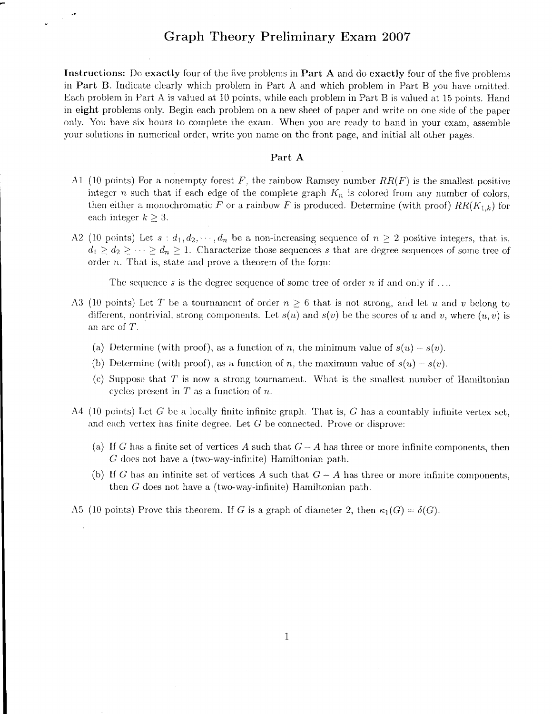## Graph Theory Preliminary Exan 2OO7

Instructions: Do exactly four of the five problems in Part A and do exactly four of the five problems in Part B. Indicate clearly which problem in Part A and which problem in Part B you have omitted. Each problem in Part A is valued at 10 points, while each problem in Part B is valued at 15 points. Hand in eight problerns only. Begin each problern on a new sheet of paper and write on one side of the paper only. You have six hours to complete the exam. When you are ready to hand in your exam, assemble your solutions in numerical order, write you name on the front page, and initial all other pages.

## Part A

- A1 (10 points) For a nonempty forest F, the rainbow Ramsey number  $RR(F)$  is the smallest positive integer n such that if each edge of the complete graph  $K_n$  is colored from any number of colors, then either a monochromatic F or a rainbow F is produced. Determine (with proof)  $RR(K_{1,k})$  for each integer  $k \geq 3$ .
- A2 (10 points) Let  $s : d_1, d_2, \dots, d_n$  be a non-increasing sequence of  $n \geq 2$  positive integers, that is,  $d_1 \geq d_2 \geq \cdots \geq d_n \geq 1$ . Characterize those sequences s that are degree sequences of some tree of order  $n$ . That is, state and prove a theorem of the form:

The sequence s is the degree sequence of some tree of order n if and only if ....

- A3 (10 points) Let T be a tournament of order  $n \geq 6$  that is not strong, and let u and v belong to different, nontrivial, strong components. Let  $s(u)$  and  $s(v)$  be the scores of u and v, where  $(u, v)$  is an arc of 7.
	- (a) Determine (with proof), as a function of n, the minimum value of  $s(u) s(v)$ .
	- (b) Determine (with proof), as a function of n, the maximum value of  $s(u) s(v)$ .
	- (c) Suppose that  $T$  is now a strong tournament. What is the smallest number of Hamiltonian cycles present in  $T$  as a function of  $n$ .
- A4 (10 points) Let G be a locally finite infinite graph. That is, G has a countably infinite vertex set, and each vertex has finite degree. Let  $G$  be connected. Prove or disprove:
	- (a) If G has a finite set of vertices A such that  $G A$  has three or more infinite components, then  $G$  does not have a (two-way-infinite) Hamiltonian path.
	- (b) If G has an infinite set of vertices A such that  $G A$  has three or more infinite components, then  $G$  does not have a (two-way-infinite) Hamiltonian path.

A5 (10 points) Prove this theorem. If G is a graph of diameter 2, then  $\kappa_1(G) = \delta(G)$ .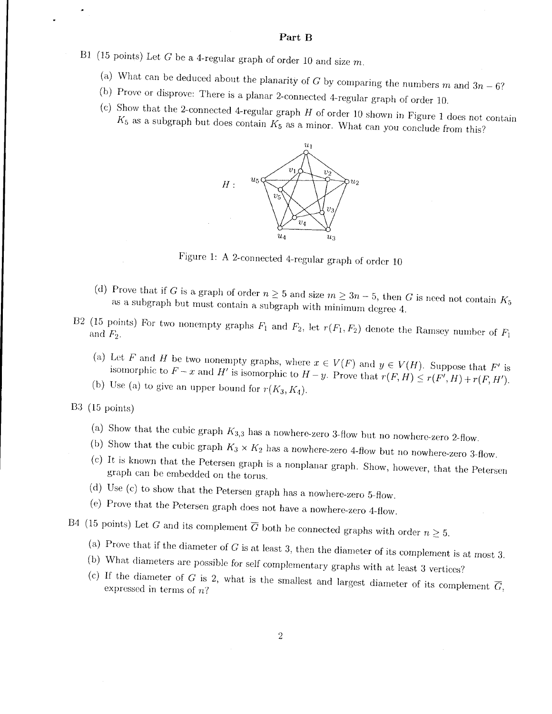## Part B

- B1 (15 points) Let  $G$  be a 4-regular graph of order 10 and size  $m$ .
	- (a) What can be deduced about the planarity of G by comparing the numbers m and  $3n 6$ ?
	- (b) Prove or disprove: There is a planar 2-connected 4-regular graph of order 10.
	- (c) Show that the 2-connected 4-regular graph  $H$  of order 10 shown in Figure 1 does not contain  $K_5$  as a subgraph but does contain  $K_5$  as a minor. What can you conclude from this?



Figure 1: A 2-connected 4-regular graph of order 10

- (d) Prove that if G is a graph of order  $n \geq 5$  and size  $m \geq 3n-5$ , then G is need not contain  $K_5$ as a subgraph but must contain a subgraph with minimum degree 4.
- B2 (15 points) For two nonempty graphs  $F_1$  and  $F_2$ , let  $r(F_1, F_2)$  denote the Ramsey number of  $F_1$ 
	- (a) Let F and H be two nonempty graphs, where  $x \in V(F)$  and  $y \in V(H)$ . Suppose that F' is isomorphic to  $F - x$  and  $H'$  is isomorphic to  $H - y$ . Prove that  $r(F, H) \le r(F', H) + r(F, H')$ .
	- (b) Use (a) to give an upper bound for  $r(K_3, K_4)$ .

 $B3$  (15 points)

- (a) Show that the cubic graph  $K_{3,3}$  has a nowhere-zero 3-flow but no nowhere-zero 2-flow.
- (b) Show that the cubic graph  $K_3 \times K_2$  has a nowhere-zero 4-flow but no nowhere-zero 3-flow.
- (c) It is known that the Petersen graph is a nonplanar graph. Show, however, that the Petersen graph can be embedded on the torus.
- (d) Use (c) to show that the Petersen graph has a nowhere-zero 5-flow.
- (e) Prove that the Petersen graph does not have a nowhere-zero 4-flow.

B4 (15 points) Let G and its complement  $\overline{G}$  both be connected graphs with order  $n \geq 5$ .

- (a) Prove that if the diameter of  $G$  is at least 3, then the diameter of its complement is at most 3.
- (b) What diameters are possible for self complementary graphs with at least 3 vertices?
- (c) If the diameter of G is 2, what is the smallest and largest diameter of its complement  $\overline{G}_1$ , expressed in terms of  $n$ ?